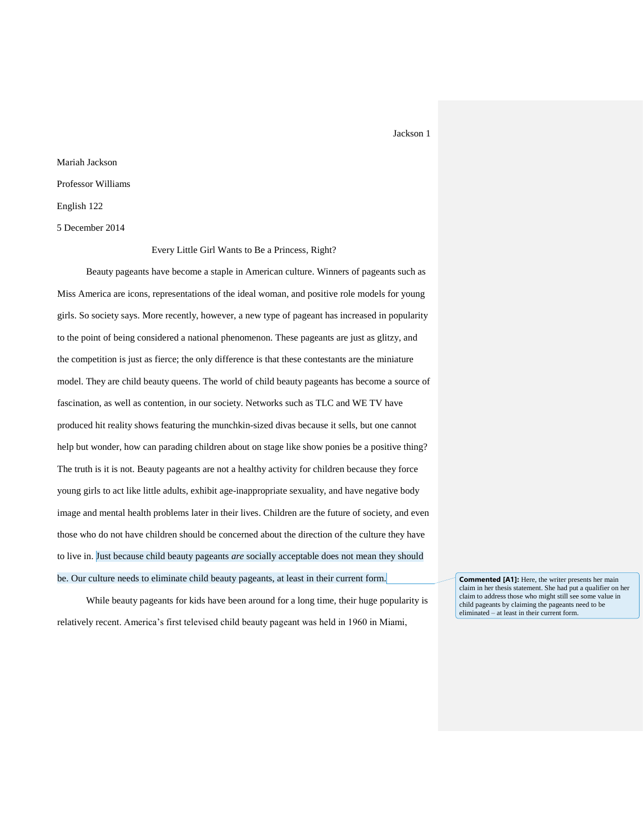# Mariah Jackson Professor Williams English 122 5 December 2014

Every Little Girl Wants to Be a Princess, Right?

Beauty pageants have become a staple in American culture. Winners of pageants such as Miss America are icons, representations of the ideal woman, and positive role models for young girls. So society says. More recently, however, a new type of pageant has increased in popularity to the point of being considered a national phenomenon. These pageants are just as glitzy, and the competition is just as fierce; the only difference is that these contestants are the miniature model. They are child beauty queens. The world of child beauty pageants has become a source of fascination, as well as contention, in our society. Networks such as TLC and WE TV have produced hit reality shows featuring the munchkin-sized divas because it sells, but one cannot help but wonder, how can parading children about on stage like show ponies be a positive thing? The truth is it is not. Beauty pageants are not a healthy activity for children because they force young girls to act like little adults, exhibit age-inappropriate sexuality, and have negative body image and mental health problems later in their lives. Children are the future of society, and even those who do not have children should be concerned about the direction of the culture they have to live in. Just because child beauty pageants *are* socially acceptable does not mean they should be. Our culture needs to eliminate child beauty pageants, at least in their current form.

While beauty pageants for kids have been around for a long time, their huge popularity is relatively recent. America's first televised child beauty pageant was held in 1960 in Miami,

**Commented [A1]:** Here, the writer presents her main claim in her thesis statement. She had put a qualifier on her claim to address those who might still see some value in child pageants by claiming the pageants need to be eliminated – at least in their current form.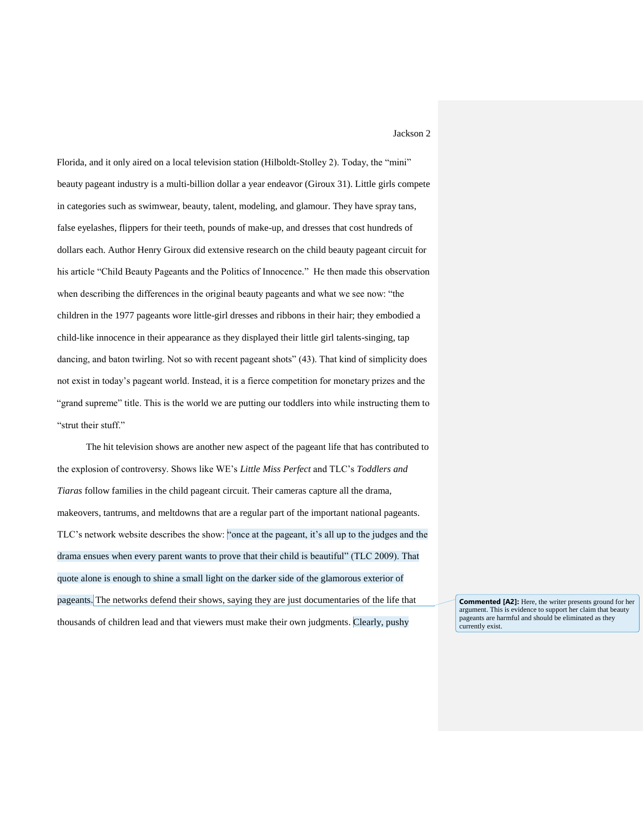Florida, and it only aired on a local television station (Hilboldt-Stolley 2). Today, the "mini" beauty pageant industry is a multi-billion dollar a year endeavor (Giroux 31). Little girls compete in categories such as swimwear, beauty, talent, modeling, and glamour. They have spray tans, false eyelashes, flippers for their teeth, pounds of make-up, and dresses that cost hundreds of dollars each. Author Henry Giroux did extensive research on the child beauty pageant circuit for his article "Child Beauty Pageants and the Politics of Innocence*.*" He then made this observation when describing the differences in the original beauty pageants and what we see now: "the children in the 1977 pageants wore little-girl dresses and ribbons in their hair; they embodied a child-like innocence in their appearance as they displayed their little girl talents-singing, tap dancing, and baton twirling. Not so with recent pageant shots" (43). That kind of simplicity does not exist in today's pageant world. Instead, it is a fierce competition for monetary prizes and the "grand supreme" title. This is the world we are putting our toddlers into while instructing them to "strut their stuff."

The hit television shows are another new aspect of the pageant life that has contributed to the explosion of controversy. Shows like WE's *Little Miss Perfect* and TLC's *Toddlers and Tiaras* follow families in the child pageant circuit. Their cameras capture all the drama, makeovers, tantrums, and meltdowns that are a regular part of the important national pageants. TLC's network website describes the show: "once at the pageant, it's all up to the judges and the drama ensues when every parent wants to prove that their child is beautiful" (TLC 2009). That quote alone is enough to shine a small light on the darker side of the glamorous exterior of pageants. The networks defend their shows, saying they are just documentaries of the life that thousands of children lead and that viewers must make their own judgments. Clearly, pushy

**Commented [A2]:** Here, the writer presents ground for her argument. This is evidence to support her claim that beauty pageants are harmful and should be eliminated as they currently exist.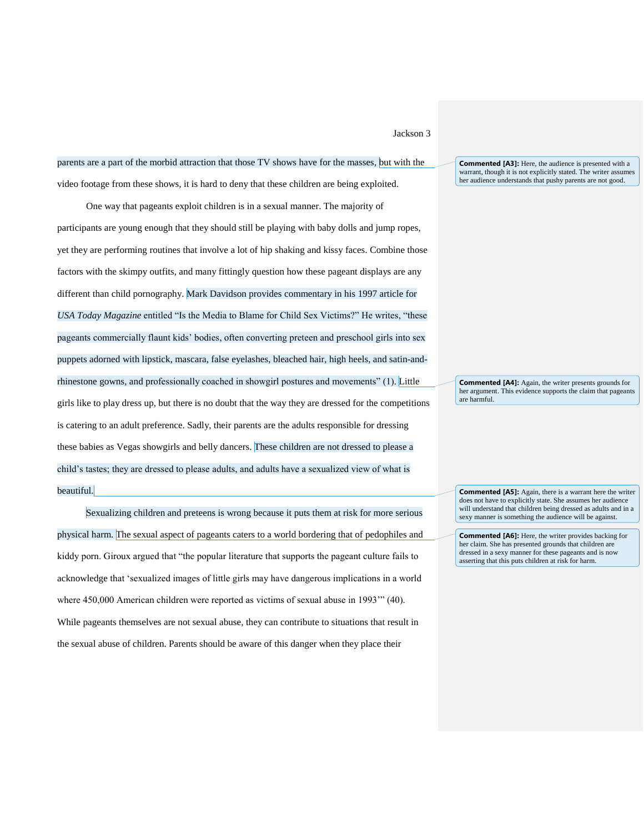parents are a part of the morbid attraction that those TV shows have for the masses, but with the video footage from these shows, it is hard to deny that these children are being exploited.

One way that pageants exploit children is in a sexual manner. The majority of participants are young enough that they should still be playing with baby dolls and jump ropes, yet they are performing routines that involve a lot of hip shaking and kissy faces. Combine those factors with the skimpy outfits, and many fittingly question how these pageant displays are any different than child pornography. Mark Davidson provides commentary in his 1997 article for *USA Today Magazine* entitled "Is the Media to Blame for Child Sex Victims?" He writes, "these pageants commercially flaunt kids' bodies, often converting preteen and preschool girls into sex puppets adorned with lipstick, mascara, false eyelashes, bleached hair, high heels, and satin-andrhinestone gowns, and professionally coached in showgirl postures and movements" (1). Little girls like to play dress up, but there is no doubt that the way they are dressed for the competitions is catering to an adult preference. Sadly, their parents are the adults responsible for dressing these babies as Vegas showgirls and belly dancers. These children are not dressed to please a child's tastes; they are dressed to please adults, and adults have a sexualized view of what is beautiful.

Sexualizing children and preteens is wrong because it puts them at risk for more serious physical harm. The sexual aspect of pageants caters to a world bordering that of pedophiles and kiddy porn. Giroux argued that "the popular literature that supports the pageant culture fails to acknowledge that 'sexualized images of little girls may have dangerous implications in a world where 450,000 American children were reported as victims of sexual abuse in 1993'" (40). While pageants themselves are not sexual abuse, they can contribute to situations that result in the sexual abuse of children. Parents should be aware of this danger when they place their

**Commented [A3]:** Here, the audience is presented with a warrant, though it is not explicitly stated. The writer assumes her audience understands that pushy parents are not good.

**Commented [A4]:** Again, the writer presents grounds for her argument. This evidence supports the claim that pageants are harmful.

**Commented [A5]:** Again, there is a warrant here the writer does not have to explicitly state. She assumes her audience will understand that children being dressed as adults and in a sexy manner is something the audience will be against.

**Commented [A6]:** Here, the writer provides backing for her claim. She has presented grounds that children are dressed in a sexy manner for these pageants and is now asserting that this puts children at risk for harm.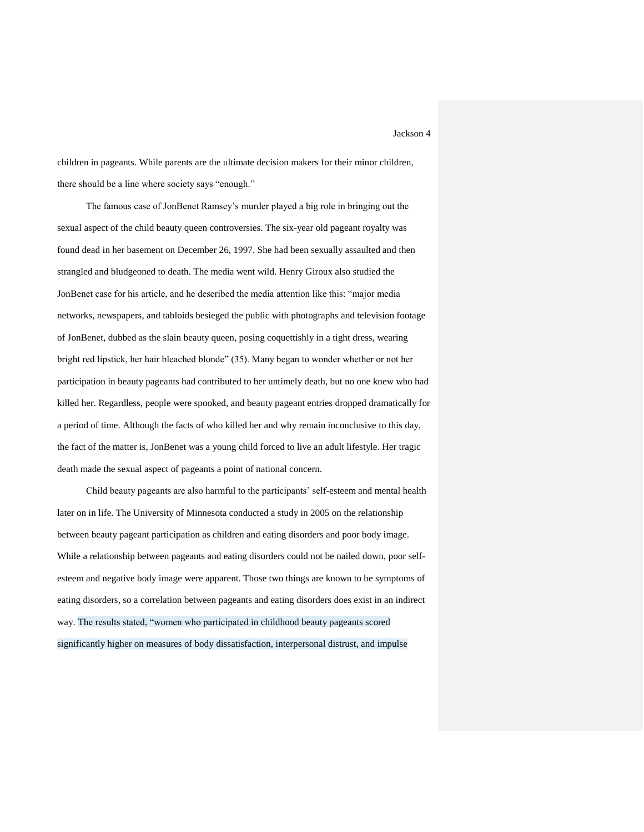children in pageants. While parents are the ultimate decision makers for their minor children, there should be a line where society says "enough."

The famous case of JonBenet Ramsey's murder played a big role in bringing out the sexual aspect of the child beauty queen controversies. The six-year old pageant royalty was found dead in her basement on December 26, 1997. She had been sexually assaulted and then strangled and bludgeoned to death. The media went wild. Henry Giroux also studied the JonBenet case for his article, and he described the media attention like this: "major media networks, newspapers, and tabloids besieged the public with photographs and television footage of JonBenet, dubbed as the slain beauty queen, posing coquettishly in a tight dress, wearing bright red lipstick, her hair bleached blonde" (35). Many began to wonder whether or not her participation in beauty pageants had contributed to her untimely death, but no one knew who had killed her. Regardless, people were spooked, and beauty pageant entries dropped dramatically for a period of time. Although the facts of who killed her and why remain inconclusive to this day, the fact of the matter is, JonBenet was a young child forced to live an adult lifestyle. Her tragic death made the sexual aspect of pageants a point of national concern.

Child beauty pageants are also harmful to the participants' self-esteem and mental health later on in life. The University of Minnesota conducted a study in 2005 on the relationship between beauty pageant participation as children and eating disorders and poor body image. While a relationship between pageants and eating disorders could not be nailed down, poor selfesteem and negative body image were apparent. Those two things are known to be symptoms of eating disorders, so a correlation between pageants and eating disorders does exist in an indirect way. The results stated, "women who participated in childhood beauty pageants scored significantly higher on measures of body dissatisfaction, interpersonal distrust, and impulse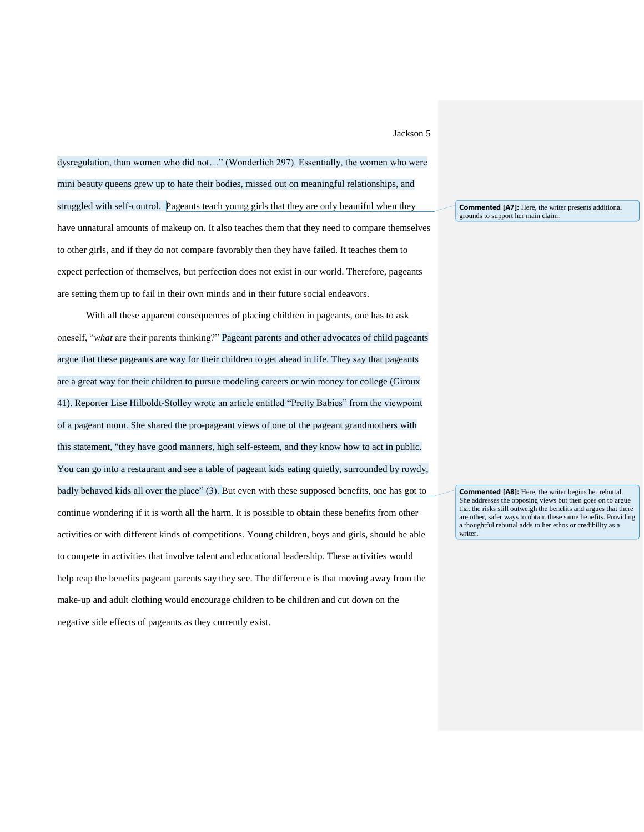dysregulation, than women who did not…" (Wonderlich 297). Essentially, the women who were mini beauty queens grew up to hate their bodies, missed out on meaningful relationships, and struggled with self-control. Pageants teach young girls that they are only beautiful when they have unnatural amounts of makeup on. It also teaches them that they need to compare themselves to other girls, and if they do not compare favorably then they have failed. It teaches them to expect perfection of themselves, but perfection does not exist in our world. Therefore, pageants are setting them up to fail in their own minds and in their future social endeavors.

With all these apparent consequences of placing children in pageants, one has to ask oneself, "*what* are their parents thinking?" Pageant parents and other advocates of child pageants argue that these pageants are way for their children to get ahead in life. They say that pageants are a great way for their children to pursue modeling careers or win money for college (Giroux 41). Reporter Lise Hilboldt-Stolley wrote an article entitled "Pretty Babies" from the viewpoint of a pageant mom. She shared the pro-pageant views of one of the pageant grandmothers with this statement, "they have good manners, high self-esteem, and they know how to act in public. You can go into a restaurant and see a table of pageant kids eating quietly, surrounded by rowdy, badly behaved kids all over the place" (3). But even with these supposed benefits, one has got to continue wondering if it is worth all the harm. It is possible to obtain these benefits from other activities or with different kinds of competitions. Young children, boys and girls, should be able to compete in activities that involve talent and educational leadership. These activities would help reap the benefits pageant parents say they see. The difference is that moving away from the make-up and adult clothing would encourage children to be children and cut down on the negative side effects of pageants as they currently exist.

**Commented [A7]:** Here, the writer presents additional grounds to support her main claim.

**Commented [A8]:** Here, the writer begins her rebuttal. She addresses the opposing views but then goes on to argue that the risks still outweigh the benefits and argues that there are other, safer ways to obtain these same benefits. Providing a thoughtful rebuttal adds to her ethos or credibility as a writer.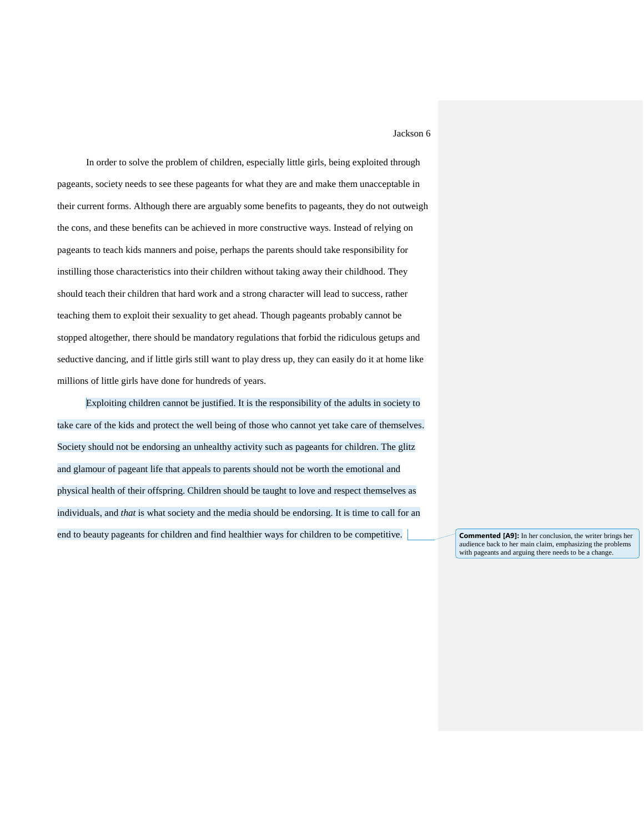In order to solve the problem of children, especially little girls, being exploited through pageants, society needs to see these pageants for what they are and make them unacceptable in their current forms. Although there are arguably some benefits to pageants, they do not outweigh the cons, and these benefits can be achieved in more constructive ways. Instead of relying on pageants to teach kids manners and poise, perhaps the parents should take responsibility for instilling those characteristics into their children without taking away their childhood. They should teach their children that hard work and a strong character will lead to success, rather teaching them to exploit their sexuality to get ahead. Though pageants probably cannot be stopped altogether, there should be mandatory regulations that forbid the ridiculous getups and seductive dancing, and if little girls still want to play dress up, they can easily do it at home like millions of little girls have done for hundreds of years.

Exploiting children cannot be justified. It is the responsibility of the adults in society to take care of the kids and protect the well being of those who cannot yet take care of themselves. Society should not be endorsing an unhealthy activity such as pageants for children. The glitz and glamour of pageant life that appeals to parents should not be worth the emotional and physical health of their offspring. Children should be taught to love and respect themselves as individuals, and *that* is what society and the media should be endorsing. It is time to call for an end to beauty pageants for children and find healthier ways for children to be competitive. **Commented [A9]:** In her conclusion, the writer brings her

audience back to her main claim, emphasizing the problems with pageants and arguing there needs to be a change.